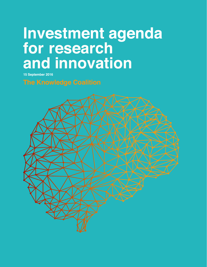# Investment agenda for research and innovation

**15 September 2016**

**The Knowledge Coalition**

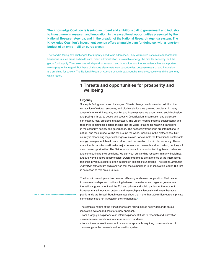**The Knowledge Coalition is issuing an urgent and ambitious call to government and industry to invest more in research and innovation, in the exceptional opportunities presented by the National Research Agenda, and in the breadth of the National Research Agenda system. The Knowledge Coalition's investment agenda offers a tangible plan for doing so, with a long-term budget of an extra 1 billion euros a year.** 

The world is facing new challenges that urgently need to be addressed. They will require us to make fundamental transitions in such areas as health care, public administration, sustainable energy, the circular economy, and the global food supply. Their solutions will depend on research and innovation, and the Netherlands has an important role to play in this regard. But these challenges also create new opportunities, because research and innovation are enriching for society. The National Research Agenda brings breakthroughs in science, society and the economy within reach.

# **1 Threats and opportunities for prosperity and wellbeing**

# **Urgency**

Society is facing enormous challenges. Climate change, environmental pollution, the exhaustion of natural resources, and biodiversity loss are growing problems. In many areas of the world, inequality, conflict and hopelessness are undermining social cohesion and posing a threat to peace and security. Globalisation, urbanisation and digitisation can magnify local problems unexpectedly. The urgent need to improve sustainability and resilience in countless sectors means that the world is facing far-reaching transitions in the economy, society and governance. The necessary transitions are international in nature, and their impact will be felt around the world, including in the Netherlands. Our country is also facing major challenges of its own, for example the transition to sustainable energy management, health care reform, and the creation of a circular economy. These unavoidable transitions will make major demands on research and innovation, but they will also create opportunities. The Netherlands has a firm basis for tackling these challenges and contributing to their solutions. We carry out outstanding research in many disciplines, and are world leaders in some fields. Dutch enterprises are at the top of the international rankings in various sectors, often building on scientific foundations. The recent *European Innovation Scoreboard 2016* showed that the Netherlands is an innovation leader. But that is no reason to rest on our laurels.

The focus in recent years has been on efficiency and closer cooperation. That has led to new relationships and co-financing between the national and regional government, the national government and the EU, and private and public parties. At the moment, however, many innovation projects and research plans languish in drawers because public funds are limited. Rough estimates show that more than 200 million euros in private commitments are not invested in the Netherlands.<sup>1</sup>

The complex nature of the transitions we are facing makes heavy demands on our innovation system and calls for a new approach:

- from a largely disciplinary to an interdisciplinary attitude to research and innovation
- towards closer collaboration across sector boundaries
- from a linear innovation model to a network approach, requiring more circulation of knowledge in the research and innovation system.

**1 1. See** *NL Next Level: Nederland innovatief topland*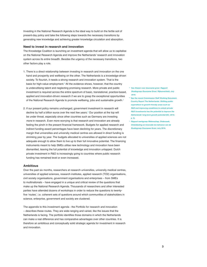Investing in the National Research Agenda is the ideal way to build on the fertile soil of present-day policy and take the following steps towards the necessary transitions by generating new knowledge and achieving greater knowledge circulation and absorption.

### **Need to invest in research and innovation**

The Knowledge Coalition is launching an investment agenda that will allow us to capitalise on the National Research Agenda and improve the Netherlands' research and innovation system across its entire breadth. Besides the urgency of the necessary transitions, two other factors play a role.

- 1. There is a direct relationship between investing in research and innovation on the one hand and prosperity and wellbeing on the other. The Netherlands is a knowledge-driven society. To flourish, it needs a strong research and innovation system. That is the basis for high-value employment.<sup>2</sup> All the evidence shows, however, that the country is underutilising talent and neglecting promising research. More private and public investment is required across the entire spectrum of basic, translational, practice-based, applied and innovation-driven research if we are to grasp the exceptional opportunities of the National Research Agenda to promote wellbeing, jobs and sustainable growth.3
- 2. If our present policy remains unchanged, government investment in research will decline by half a billion euros over the next few years.4 Our position at the top will be under threat, especially since other countries such as Germany are investing *more* in research. Even more worrying is that research and innovation are already feeling the pinch in the present financial framework. Budgets for applied research and indirect funding award percentages have been declining for years. The discretionary margin that universities and university medical centres are allowed in direct funding is shrinking year by year. The budgets allocated to universities of applied sciences are not adequate enough to allow them to live up to their full innovative potential. The financing instruments meant to help SMEs utilise new technology and innovation have been dismantled, leaving the full potential of knowledge and innovation untapped. Dutch private investment in R&D is increasingly going to countries where public research funding has remained level or even increased.

## **Ambitious**

Over the past six months, researchers at research universities, university medical centres, universities of applied sciences, research institutes, applied research (TO2) organisations, civil society organisations, government organisations and enterprises – from SMEs to multinationals – have engaged in a unique and critical review of the questions that make up the National Research Agenda. Thousands of researchers and other interested parties have attended dozens of workshops in order to reduce the questions to twentyfive 'routes', i.e. coherent sets of questions around which communities of stakeholders in science, enterprise, government and society are clustered.

The appendix to this investment agenda - the Portfolio for research and innovation – describes these routes. They are wide-ranging and varied, like the issues that the Netherlands is facing. The portfolio identifies those domains in which the Netherlands can make a real difference and has comparative advantages over other countries. It is therefore an ambitious and conceptually solid strategic agenda for investment in research and innovation.

- **2 See** *Kiezen voor duurzame groei. Rapport Studiegroep Duurzame Groei, Rijksoverheid, July 2016.*
- **3 See the recent Commission Staff Working Document. Country Report The Netherlands:** *Shifting public expenditure to growth-friendly areas such as R&D and improving conditions to unlock private R&D investments has the potential to improve the*  **Netherlands' long-term growth potential (EC, 2016: p. 3).**
- **4** *Rapport werkgroep Wetenschap, Onderzoek, Ontwikkeling en Innovatie ten behoeve van de Studiegroep Duurzame Groei,* **July 2016.**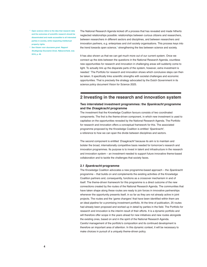- **5 Open science refers to the idea that research data and the outcomes of scientific research should be disseminated and made accessible to all interested parties in society, while respecting intellectual property rights.**
- **6 See** *Kiezen voor duurzame groei. Rapport Studiegroep Duurzame Groei, Rijksoverheid,* **July 2016, p. 49.**

The National Research Agenda kicked off a process that has revealed and made hitherto neglected relationships possible: relationships between curious citizens and researchers, between researchers in different sectors and disciplines, and between researchers and innovation partners, e.g. enterprises and civil society organisations. This process keys into the trend towards open science,<sup>5</sup> strengthening the ties between science and society.

It has also shown us that we can get much more out of our current system. Once we connect up the dots between the questions in the National Research Agenda, countless new opportunities for research and innovation in challenging areas will suddenly come to light. To actually link up the disparate parts of the system, however, extra investment is needed.<sup>6</sup> The Portfolio for research and innovation shows which conclusive steps can then be taken. It specifically links scientific strengths with societal challenges and economic opportunities. That is precisely the strategy advocated by the Dutch Government in its science policy document Vision for Science 2025.

# **2 Investing in the research and innovation system**

# **Two interrelated investment programmes: the** *Spankracht* **programme and the** *Draagkracht* **programme**

The investment that the Knowledge Coalition favours consists of two coordinated components. The first is the theme-driven component, in which new investment is used to capitalise on the opportunities revealed by the National Research Agenda. The Portfolio for research and innovation offers a conceptual framework for this. The associated programme proposed by the Knowledge Coalition is entitled 'Spankracht', a reference to how we can span the divide between disciplines and sectors.

The second component is entitled 'Draagkracht' because its aim is to maintain and bolster the broad, internationally competitive basis needed for tomorrow's research and innovation programmes. Its purpose is to invest in talent and infrastructure in the research and innovation system – an investment needed to support future innovative theme-based collaboration and to tackle the challenges that society faces.

## **2.1** *Spankracht* **programme**

The Knowledge Coalition advocates a new programme-based approach - the Spankracht programme – that builds on and complements the existing activities of the Knowledge Coalition partners and, consequently, functions as a crossover mechanism in and of itself. The theme-driven framework for this programme is a direct outcome of the new connections created by the routes of the National Research Agenda. The communities that have taken shape along these routes are ready to join forces in innovative partnerships whenever the opportunity presents itself, in so far as they are not already active in joint projects. The routes and the 'game changers' that have been identified within them are an ideal pipeline for a promising investment portfolio. At the time of publication, 25 routes had already been proposed and worked up in detail by parties in the field. The Portfolio for research and innovation is the interim result of their efforts. It is a dynamic portfolio and will therefore offer scope in the years ahead for new initiatives and new routes alongside the existing ones, based on and in the spirit of the National Research Agenda. Careful management of the portfolio's composition and its continued development is therefore an important area of attention. In this dynamic context, it will be necessary to make choices in pursuit of a uniquely theme-driven policy.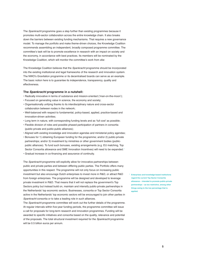The Spankracht programme goes a step further than existing programmes because it promotes multi-sector collaboration across the entire knowledge chain. It also breaks down the barriers between existing funding mechanisms. That requires a new governance model. To manage the portfolio and make theme-driven choices, the Knowledge Coalition recommends assembling an independent, broadly composed programme committee. The committee's task will be to promote excellence in research with an impact on society and the economy, in accordance with best practices. Its members will be nominated by the Knowledge Coalition, which will monitor the committee's work from afar.

The Knowledge Coalition believes that the Spankracht programme should be incorporated into the existing institutional and legal frameworks of the research and innovation system. The NWO's Gravitation programme or its decentralised boards can serve as an example. The basic notion here is to guarantee its independence, transparency, quality and effectiveness.

### **The** *Spankracht* **programme in a nutshell:**

- Radically innovative in terms of substance and mission-oriented ('man-on-the-moon');
- Focused on generating value in science, the economy and society;
- Organisationally unifying thanks to its interdisciplinary nature and cross-sector collaboration between nodes in the network;
- Well-balanced with respect to fundamental, policy-based, applied, practice-based and innovation-driven activities;
- Long term in nature, with corresponding funding levels and as 'full cost' as possible;
- Flexible division of roles and possible phased participation of partners in consortia (public-private and public-public alliances);
- Aligned with existing knowledge and innovation agendas and ministerial policy agendas;
- Bonuses for 1) obtaining European funding for the programme; and/or 2) public-private partnerships; and/or 3) investment by ministries or other government bodies (publicpublic alliances). To fund such bonuses, existing arrangements (e.g. EU matching, Top Sector Consortia allowance and SME Innovation Incentives) will need to be expanded.<sup>7</sup>
- Gradual increase in co-financing and assurance of continuity.

The Spankracht programme will explicitly allow for innovative partnerships between public and private parties and between differing public parties. The Portfolio offers many opportunities in this respect. The programme will not only focus on increasing public investment but also encourage Dutch enterprises to invest more in R&D, or attract R&D from foreign enterprises. The programme will be designed and developed to leverage private investment in R&D. That means that it will not replace the government's Top Sectors policy but instead build on, maintain and intensify public-private partnerships in the Netherlands' top economic sectors. Businesses, consortia or Top Sector Consortia active in the Netherlands' top economic sectors will be encouraged to join other parties in Spankracht consortia or to take a leading role in such alliances.

The *Spankracht* programme committee will work out the further details of the programme. At regular intervals within five-year funding periods, the programme committee will issue a call for proposals for long-term research and innovation programmes. Funding will be awarded to specific initiatives and consortia based on the quality, relevance and potential of the proposals. The total structural investment required for the *Spankracht* programme will be 0.5 billion euros per annum.

**<sup>7</sup>Enterprises and knowledge-based institutions regard the current Top Sector Consortia allowance – intended to promote public-private partnerships – as too restrictive, among other things owing to the low percentage that is applied.**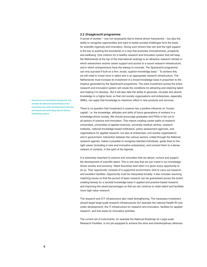#### **2.2** *Draagkracht* **programme**

A sense of wonder – one not necessarily tied to theme-driven frameworks – but also the ability to recognise opportunities and want to tackle societal challenges form the basis for scientific ingenuity and innovation. Giving such drivers free rein and the right support is the key to pushing the boundaries in a way that promotes innovativeness, prosperity and wellbeing. One criterion for a healthy research and innovation system that will keep the Netherlands at the top of the international rankings is an attractive research climate in which researchers receive career support and access to a sound research infrastructure, and in which entrepreneurs have the leeway to innovate. The Spankracht programme can only succeed if built on a firm, broad, superior knowledge base.<sup>8</sup> To achieve this, we will need to invest more in talent and in an appropriate research infrastructure. The Netherlands must increase its investment in a broad knowledge base in proportion to the impetus generated by the Spankracht programme. The extra investment across the entire research and innovation system will create the conditions for attracting and retaining talent and helping it to develop. But it will also take the ability to generate, circulate and absorb knowledge to a higher level, so that civil society organisations and enterprises, especially SMEs, can apply that knowledge to maximum effect in new products and services.

**8 Viewed from an international perspective, this includes the balanced representation of the humanities, the social and behavioural sciences, and science and technology (see the Bruins/ Duisenberg motion).** 

There is no question that investment in science has a positive influence on 'human capital', i.e. the knowledge, attitudes and skills of future generations of workers in a knowledge-driven society. We should encourage graduates and PhDs to fan out to all sectors of science and innovation. This means creating career paths at research universities, universities of applied sciences, university medical centres, research institutes, national knowledge-based institutions, policy assessment agencies, and organisations for applied research, but also at enterprises, civil society organisations and in government. Interaction between the various sectors, united through the National research agenda, makes it possible to recognise talented individuals, guide them to the right career (including in new and innovative enterprises), and connect them to a dense network of contacts, in the spirit of the Agenda.

It is extremely important to science and innovation that we attract, nurture and support the development of scientific talent. This is one way that we can invest in our knowledgedriven society and economy. Talent flourishes best when it is given every opportunity to do so. That 'opportunity' consists of a supportive environment, time to carry out research, and excellent facilities. Opportunity must be interpreted broadly: it also includes resolving matching issues so that the pursuit of basic research can be guaranteed across the board, creating leeway for a societal knowledge base in applied and practice-based research, and improving the award percentages so that we can continue to retain talent and facilitate more high-value research.

The research and ICT infrastructure also need strengthening. The necessary investment should target large-scale research infrastructures (for example the national Health-RI now under development), the IT infrastructure for research and innovation, facilities for applied research, and trial areas for innovative activities.

The current set of instruments, for example the National Roadmap for Large-scale Research Facilities, is not yet equipped to achieve the aims and interdisciplinary alliances.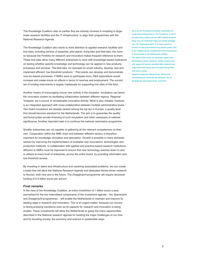The Knowledge Coalition calls on parties that are actively involved in investing in largescale research facilities and the IT infrastructure<sup>9</sup> to align their programmes with the National Research Agenda.

The Knowledge Coalition also wants to draw attention to applied research facilities and trial sites, including centres of expertise, pilot plants, living labs and field labs, the more so because the Portfolio for research and innovation makes frequent reference to them. These trial sites allow many different enterprises to work with knowledge-based institutions on testing whether specific knowledge and technology can be applied in new products, processes and services. The field labs, for example for smart industry, develop, test and implement efficient, low-threshold solutions.<sup>10</sup> Pilot plants can develop and demonstrate new bio-based processes. If SMEs were to participate more, R&D expenditure would increase and create knock-on effects in terms of revenue and employment. The current set of funding instruments is largely inadequate for supporting trial sites of this kind.

Another means of encouraging (more) new activity is the incubator. Incubators can boost the innovation system by facilitating collaboration between different regions. Regional 'hotspots' are a source of considerable innovative activity. What is also needed, however, is an integrated approach with cross-collaboration between multiple administrative levels.<sup>11</sup> Two Dutch incubators are already ranked among the top ten in Europe, a quality level that should become standard for the Netherlands. The aim is to guarantee the quality and boost public-private financing of such incubators and other campuses of national significance. Another important task is to continue the national valorisation programme.

Smaller enterprises are not capable of gathering all the relevant competences on their own. Cooperation within the SME chain and between different sectors is therefore important for knowledge circulation and absorption. Growth is possible in many domestic sectors by improving the implementation of available new innovations, technologies and production methods. In collaboration with applied and practice-based research institutions, diffusion to SMEs must be improved to ensure that new technology reaches down to and is utilised at every level of enterprise, across the entire board, by providing information and low-threshold access .

By investing in talent and infrastructure and resolving associated problems, we can create a basis that will allow the National Research Agenda and dedicated theme-driven research to flourish, both now and in the future. The Draagkracht programme will require structural funding of 0.5 billion euros per annum.

# **Final remarks**

In the view of the Knowledge Coalition, an extra investment of 1 billion euros a year, earmarked for the two interrelated components of the investment agenda – the Spankracht and Draagkracht programmes – will enable the Netherlands to maintain and improve its leading edge in research and innovation. This is an urgent matter, because our country is facing pressing transitions even as its capacity for research and innovation is being eroded. These investments will allow the Netherlands to grasp the many opportunities described in the National research agenda for tackling the major challenges of our time and for boosting society, the economy and science in sustainable ways.

- **<sup>9</sup>Such as the Permanent Scientific Committee for Large-Scale Infrastructure. For investment in the IT infrastructure, please see** *the AWTI advisory report*  **Klaar voor de Toekomst? Naar een brede strategier** *voor ICT,* **September 2015. IT is also a point of concern in the government's top sectors policy and in the 'digital society' programme of the Association of Universities in the Netherlands (VSNU).**
- **10 The Smart Cities route, for example, argues that participatory action research, citizen science (e.g. with apps) and sensor-assisted data research can make cities into living labs for exploring societal and urban issues.**
- **<sup>11</sup>***Rapport werkgroep Wetenschap, Onderzoek, Ontwikkeling en Innovatie ten behoeve van de Studiegroep Duurzame Groei,* **July 2016.**